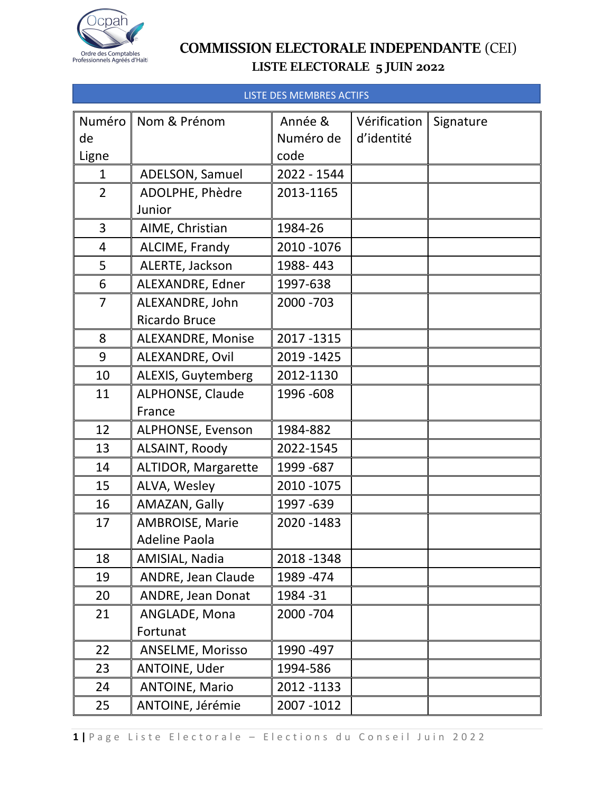

#### LISTE DES MEMBRES ACTIFS

| Numéro         | Nom & Prénom               | Année &     | Vérification | Signature |
|----------------|----------------------------|-------------|--------------|-----------|
| de             |                            | Numéro de   | d'identité   |           |
| Ligne          |                            | code        |              |           |
| $\mathbf{1}$   | ADELSON, Samuel            | 2022 - 1544 |              |           |
| $\overline{2}$ | ADOLPHE, Phèdre            | 2013-1165   |              |           |
|                | Junior                     |             |              |           |
| 3              | AIME, Christian            | 1984-26     |              |           |
| $\overline{4}$ | ALCIME, Frandy             | 2010 - 1076 |              |           |
| 5              | ALERTE, Jackson            | 1988-443    |              |           |
| 6              | ALEXANDRE, Edner           | 1997-638    |              |           |
| $\overline{7}$ | ALEXANDRE, John            | 2000 - 703  |              |           |
|                | <b>Ricardo Bruce</b>       |             |              |           |
| 8              | <b>ALEXANDRE, Monise</b>   | 2017-1315   |              |           |
| 9              | ALEXANDRE, Ovil            | 2019 - 1425 |              |           |
| 10             | ALEXIS, Guytemberg         | 2012-1130   |              |           |
| 11             | ALPHONSE, Claude           | 1996 - 608  |              |           |
|                | France                     |             |              |           |
| 12             | <b>ALPHONSE, Evenson</b>   | 1984-882    |              |           |
| 13             | ALSAINT, Roody             | 2022-1545   |              |           |
| 14             | <b>ALTIDOR, Margarette</b> | 1999 - 687  |              |           |
| 15             | ALVA, Wesley               | 2010 - 1075 |              |           |
| 16             | AMAZAN, Gally              | 1997 - 639  |              |           |
| 17             | AMBROISE, Marie            | 2020 - 1483 |              |           |
|                | <b>Adeline Paola</b>       |             |              |           |
| 18             | AMISIAL, Nadia             | 2018-1348   |              |           |
| 19             | ANDRE, Jean Claude         | 1989 - 474  |              |           |
| 20             | ANDRE, Jean Donat          | 1984 - 31   |              |           |
| 21             | ANGLADE, Mona              | 2000 - 704  |              |           |
|                | Fortunat                   |             |              |           |
| 22             | ANSELME, Morisso           | 1990 - 497  |              |           |
| 23             | ANTOINE, Uder              | 1994-586    |              |           |
| 24             | <b>ANTOINE, Mario</b>      | 2012 - 1133 |              |           |
| 25             | ANTOINE, Jérémie           | 2007-1012   |              |           |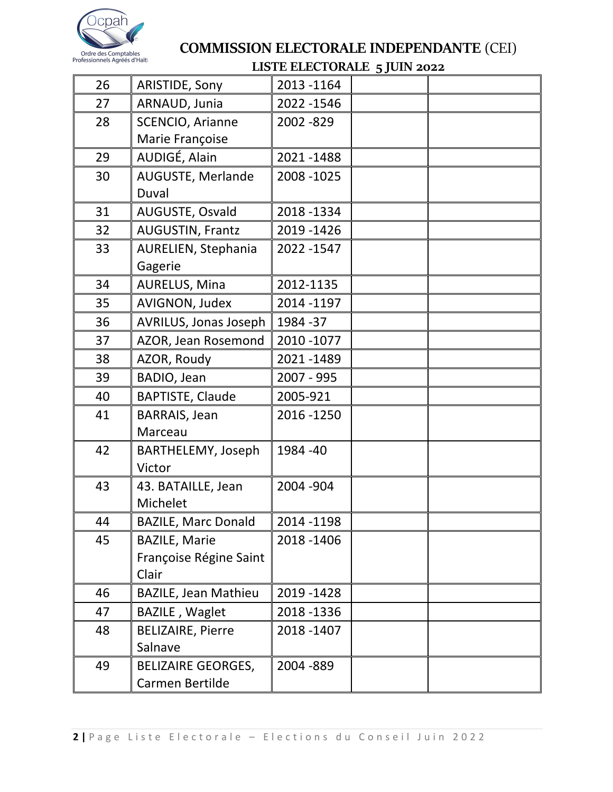

|    |                             | LOTE ELECTORILE 5 JOIN 2022 |  |
|----|-----------------------------|-----------------------------|--|
| 26 | ARISTIDE, Sony              | 2013-1164                   |  |
| 27 | ARNAUD, Junia               | 2022 - 1546                 |  |
| 28 | <b>SCENCIO, Arianne</b>     | 2002 - 829                  |  |
|    | Marie Françoise             |                             |  |
| 29 | AUDIGÉ, Alain               | 2021-1488                   |  |
| 30 | AUGUSTE, Merlande           | 2008 - 1025                 |  |
|    | Duval                       |                             |  |
| 31 | AUGUSTE, Osvald             | 2018-1334                   |  |
| 32 | AUGUSTIN, Frantz            | 2019 - 1426                 |  |
| 33 | AURELIEN, Stephania         | 2022 - 1547                 |  |
|    | Gagerie                     |                             |  |
| 34 | AURELUS, Mina               | 2012-1135                   |  |
| 35 | AVIGNON, Judex              | 2014 - 1197                 |  |
| 36 | AVRILUS, Jonas Joseph       | 1984 - 37                   |  |
| 37 | AZOR, Jean Rosemond         | 2010 - 1077                 |  |
| 38 | AZOR, Roudy                 | 2021-1489                   |  |
| 39 | BADIO, Jean                 | 2007 - 995                  |  |
| 40 | <b>BAPTISTE, Claude</b>     | 2005-921                    |  |
| 41 | <b>BARRAIS, Jean</b>        | 2016 - 1250                 |  |
|    | Marceau                     |                             |  |
| 42 | BARTHELEMY, Joseph          | 1984 - 40                   |  |
|    | Victor                      |                             |  |
| 43 | 43. BATAILLE, Jean          | 2004 - 904                  |  |
|    | Michelet                    |                             |  |
| 44 | <b>BAZILE, Marc Donald</b>  | 2014 - 1198                 |  |
| 45 | <b>BAZILE, Marie</b>        | 2018-1406                   |  |
|    | Françoise Régine Saint      |                             |  |
|    | Clair                       |                             |  |
| 46 | <b>BAZILE, Jean Mathieu</b> | 2019 - 1428                 |  |
| 47 | <b>BAZILE, Waglet</b>       | 2018 - 1336                 |  |
| 48 | <b>BELIZAIRE, Pierre</b>    | 2018 - 1407                 |  |
|    | Salnave                     |                             |  |
| 49 | <b>BELIZAIRE GEORGES,</b>   | 2004 - 889                  |  |
|    | Carmen Bertilde             |                             |  |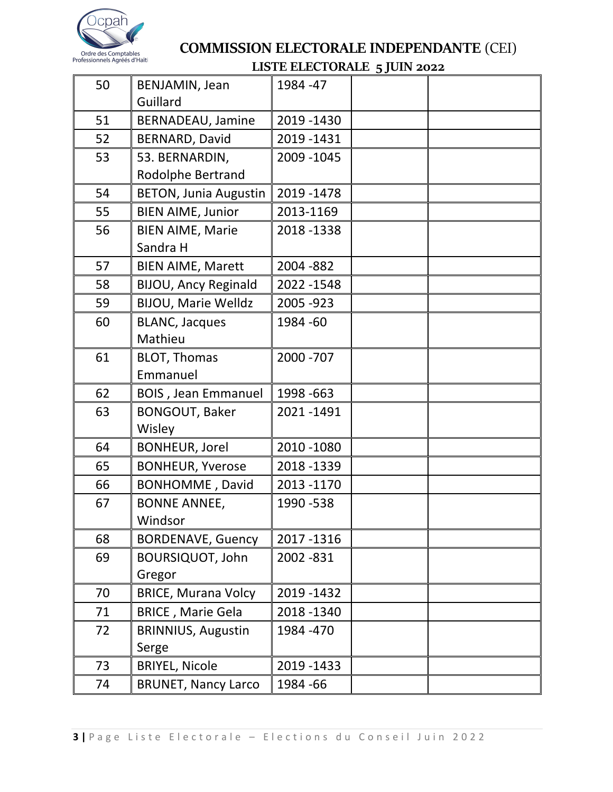

| 50 | BENJAMIN, Jean<br>Guillard          | 1984 - 47   |  |
|----|-------------------------------------|-------------|--|
| 51 | BERNADEAU, Jamine                   | 2019 - 1430 |  |
| 52 | BERNARD, David                      | 2019 - 1431 |  |
| 53 | 53. BERNARDIN,<br>Rodolphe Bertrand | 2009 - 1045 |  |
| 54 | <b>BETON, Junia Augustin</b>        | 2019 - 1478 |  |
| 55 | <b>BIEN AIME, Junior</b>            | 2013-1169   |  |
| 56 | <b>BIEN AIME, Marie</b><br>Sandra H | 2018-1338   |  |
| 57 | <b>BIEN AIME, Marett</b>            | 2004 - 882  |  |
| 58 | <b>BIJOU, Ancy Reginald</b>         | 2022 - 1548 |  |
| 59 | <b>BIJOU, Marie Welldz</b>          | 2005 - 923  |  |
| 60 | <b>BLANC, Jacques</b><br>Mathieu    | 1984 - 60   |  |
| 61 | <b>BLOT, Thomas</b><br>Emmanuel     | 2000 - 707  |  |
| 62 | <b>BOIS</b> , Jean Emmanuel         | 1998 - 663  |  |
| 63 | <b>BONGOUT, Baker</b><br>Wisley     | 2021-1491   |  |
| 64 | <b>BONHEUR, Jorel</b>               | 2010 - 1080 |  |
| 65 | <b>BONHEUR, Yverose</b>             | 2018-1339   |  |
| 66 | <b>BONHOMME, David</b>              | 2013 - 1170 |  |
| 67 | <b>BONNE ANNEE,</b><br>Windsor      | 1990 - 538  |  |
| 68 | <b>BORDENAVE, Guency</b>            | 2017-1316   |  |
| 69 | <b>BOURSIQUOT, John</b><br>Gregor   | 2002 - 831  |  |
| 70 | <b>BRICE, Murana Volcy</b>          | 2019 - 1432 |  |
| 71 | <b>BRICE, Marie Gela</b>            | 2018 - 1340 |  |
| 72 | <b>BRINNIUS, Augustin</b><br>Serge  | 1984 - 470  |  |
| 73 | <b>BRIYEL, Nicole</b>               | 2019 - 1433 |  |
| 74 | <b>BRUNET, Nancy Larco</b>          | 1984 - 66   |  |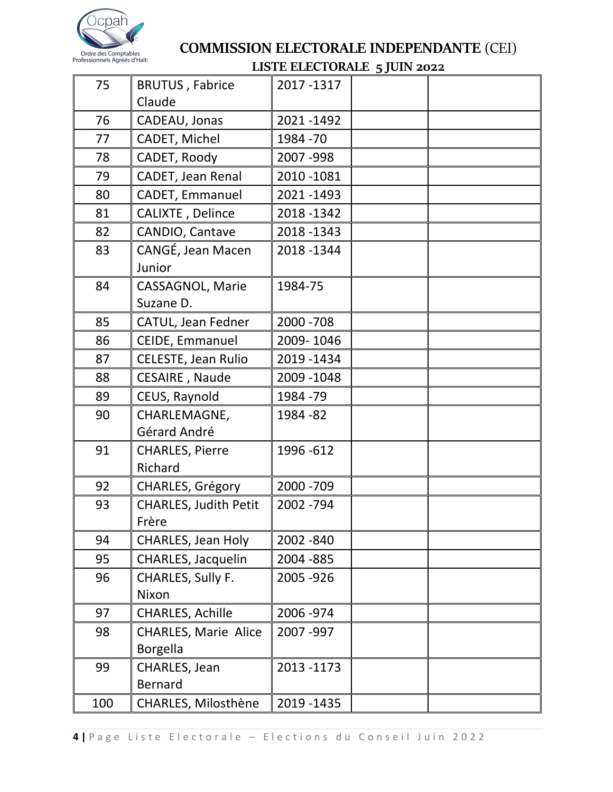

|     |                                  | ho the didn't be spont |  |
|-----|----------------------------------|------------------------|--|
| 75  | <b>BRUTUS, Fabrice</b><br>Claude | 2017-1317              |  |
| 76  | CADEAU, Jonas                    | 2021-1492              |  |
| 77  | CADET, Michel                    | 1984 - 70              |  |
| 78  | CADET, Roody                     | 2007-998               |  |
| 79  | CADET, Jean Renal                | 2010 - 1081            |  |
| 80  | CADET, Emmanuel                  | 2021-1493              |  |
| 81  | CALIXTE, Delince                 | 2018-1342              |  |
| 82  | CANDIO, Cantave                  | 2018 - 1343            |  |
| 83  | CANGÉ, Jean Macen                | 2018-1344              |  |
|     | Junior                           |                        |  |
| 84  | <b>CASSAGNOL, Marie</b>          | 1984-75                |  |
|     | Suzane D.                        |                        |  |
| 85  | CATUL, Jean Fedner               | 2000 - 708             |  |
| 86  | CEIDE, Emmanuel                  | 2009-1046              |  |
| 87  | CELESTE, Jean Rulio              | 2019 - 1434            |  |
| 88  | CESAIRE, Naude                   | 2009 - 1048            |  |
| 89  | CEUS, Raynold                    | 1984 - 79              |  |
| 90  | CHARLEMAGNE,                     | 1984 - 82              |  |
|     | Gérard André                     |                        |  |
| 91  | <b>CHARLES, Pierre</b>           | 1996 - 612             |  |
|     | Richard                          |                        |  |
| 92  | CHARLES, Grégory                 | 2000 - 709             |  |
| 93  | <b>CHARLES, Judith Petit</b>     | 2002 - 794             |  |
|     | Frère                            |                        |  |
| 94  | <b>CHARLES, Jean Holy</b>        | 2002 - 840             |  |
| 95  | CHARLES, Jacquelin               | 2004 - 885             |  |
| 96  | CHARLES, Sully F.                | 2005 - 926             |  |
|     | Nixon                            |                        |  |
| 97  | <b>CHARLES, Achille</b>          | 2006 - 974             |  |
| 98  | <b>CHARLES, Marie Alice</b>      | 2007-997               |  |
|     | <b>Borgella</b>                  |                        |  |
| 99  | CHARLES, Jean                    | 2013 - 1173            |  |
|     | <b>Bernard</b>                   |                        |  |
| 100 | <b>CHARLES, Milosthène</b>       | 2019 - 1435            |  |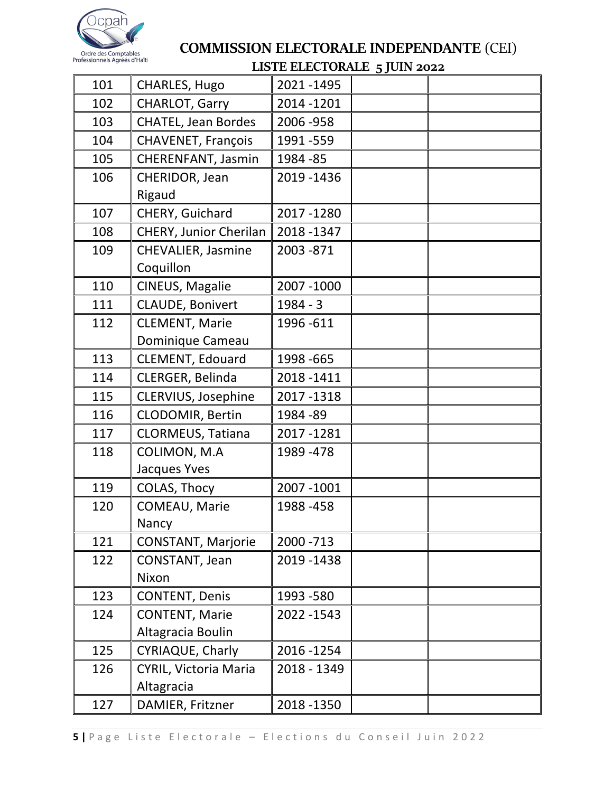

|     |                                            | <b>EROTE ELECTOR THE SJOIN 2022</b> |  |
|-----|--------------------------------------------|-------------------------------------|--|
| 101 | CHARLES, Hugo                              | 2021-1495                           |  |
| 102 | CHARLOT, Garry                             | 2014 - 1201                         |  |
| 103 | <b>CHATEL, Jean Bordes</b>                 | 2006 - 958                          |  |
| 104 | CHAVENET, François                         | 1991 - 559                          |  |
| 105 | CHERENFANT, Jasmin                         | 1984 - 85                           |  |
| 106 | CHERIDOR, Jean<br>Rigaud                   | 2019 - 1436                         |  |
| 107 | CHERY, Guichard                            | 2017-1280                           |  |
| 108 | CHERY, Junior Cherilan                     | 2018-1347                           |  |
| 109 | CHEVALIER, Jasmine                         | 2003 - 871                          |  |
| 110 | Coquillon<br>CINEUS, Magalie               | 2007 - 1000                         |  |
| 111 | CLAUDE, Bonivert                           | $1984 - 3$                          |  |
| 112 | <b>CLEMENT, Marie</b>                      | 1996 - 611                          |  |
|     | Dominique Cameau                           |                                     |  |
| 113 | <b>CLEMENT, Edouard</b>                    | 1998 - 665                          |  |
| 114 | CLERGER, Belinda                           | 2018-1411                           |  |
| 115 | CLERVIUS, Josephine                        | 2017-1318                           |  |
| 116 | CLODOMIR, Bertin                           | 1984 - 89                           |  |
| 117 | CLORMEUS, Tatiana                          | 2017-1281                           |  |
| 118 | COLIMON, M.A<br>Jacques Yves               | 1989 - 478                          |  |
| 119 | COLAS, Thocy                               | 2007 - 1001                         |  |
| 120 | COMEAU, Marie<br>Nancy                     | 1988-458                            |  |
| 121 | <b>CONSTANT, Marjorie</b>                  | 2000 - 713                          |  |
| 122 | CONSTANT, Jean<br>Nixon                    | 2019 - 1438                         |  |
| 123 | <b>CONTENT, Denis</b>                      | 1993 - 580                          |  |
| 124 | <b>CONTENT, Marie</b><br>Altagracia Boulin | 2022 - 1543                         |  |
| 125 | CYRIAQUE, Charly                           | 2016 - 1254                         |  |
| 126 | CYRIL, Victoria Maria<br>Altagracia        | 2018 - 1349                         |  |
| 127 | DAMIER, Fritzner                           | 2018 - 1350                         |  |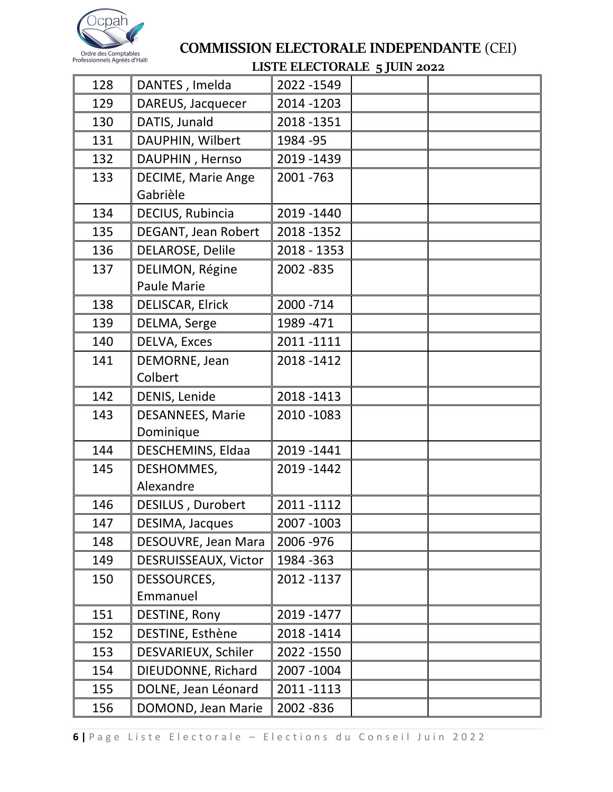

|     |                                       | LISTE ELECTORALE 5 JOIN 2022 |  |
|-----|---------------------------------------|------------------------------|--|
| 128 | DANTES, Imelda                        | 2022 - 1549                  |  |
| 129 | DAREUS, Jacquecer                     | 2014 - 1203                  |  |
| 130 | DATIS, Junald                         | 2018-1351                    |  |
| 131 | DAUPHIN, Wilbert                      | 1984 - 95                    |  |
| 132 | DAUPHIN, Hernso                       | 2019 - 1439                  |  |
| 133 | <b>DECIME, Marie Ange</b><br>Gabrièle | 2001-763                     |  |
| 134 | DECIUS, Rubincia                      | 2019 - 1440                  |  |
| 135 | DEGANT, Jean Robert                   | 2018 - 1352                  |  |
| 136 | DELAROSE, Delile                      | 2018 - 1353                  |  |
| 137 | DELIMON, Régine<br><b>Paule Marie</b> | 2002 - 835                   |  |
| 138 | DELISCAR, Elrick                      | 2000 - 714                   |  |
| 139 | DELMA, Serge                          | 1989 - 471                   |  |
| 140 | DELVA, Exces                          | 2011-1111                    |  |
| 141 | DEMORNE, Jean                         | 2018-1412                    |  |
|     | Colbert                               |                              |  |
| 142 | DENIS, Lenide                         | 2018 - 1413                  |  |
| 143 | <b>DESANNEES, Marie</b>               | 2010 - 1083                  |  |
|     | Dominique                             |                              |  |
| 144 | DESCHEMINS, Eldaa                     | 2019 - 1441                  |  |
| 145 | DESHOMMES,                            | 2019 - 1442                  |  |
|     | Alexandre                             |                              |  |
| 146 | DESILUS, Durobert                     | 2011-1112                    |  |
| 147 | DESIMA, Jacques                       | 2007-1003                    |  |
| 148 | DESOUVRE, Jean Mara                   | 2006 - 976                   |  |
| 149 | DESRUISSEAUX, Victor                  | 1984 - 363                   |  |
| 150 | DESSOURCES,                           | 2012 -1137                   |  |
|     | Emmanuel                              |                              |  |
| 151 | DESTINE, Rony                         | 2019 - 1477                  |  |
| 152 | DESTINE, Esthène                      | 2018-1414                    |  |
| 153 | DESVARIEUX, Schiler                   | 2022 - 1550                  |  |
| 154 | DIEUDONNE, Richard                    | 2007-1004                    |  |
| 155 | DOLNE, Jean Léonard                   | 2011-1113                    |  |
| 156 | DOMOND, Jean Marie                    | 2002 - 836                   |  |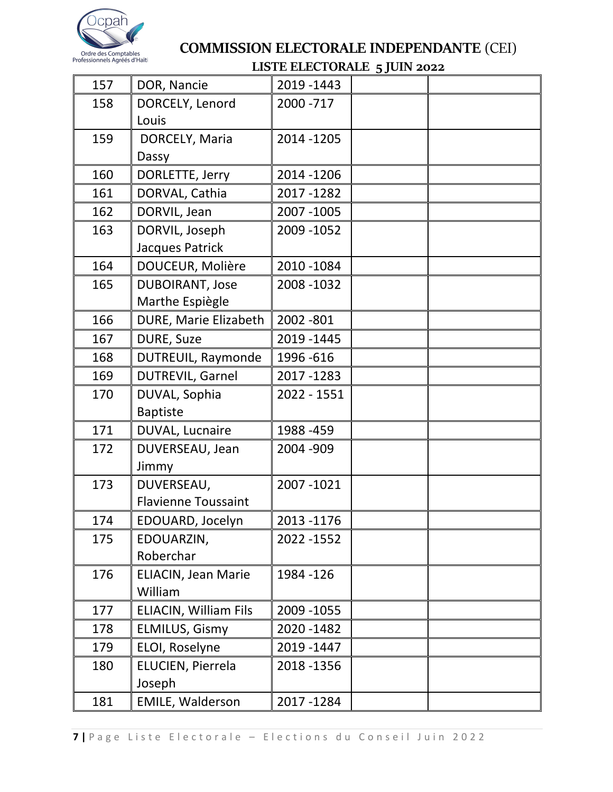

|     |                              | <u>тото спостовате древнически с</u> |  |
|-----|------------------------------|--------------------------------------|--|
| 157 | DOR, Nancie                  | 2019 - 1443                          |  |
| 158 | DORCELY, Lenord              | 2000 - 717                           |  |
|     | Louis                        |                                      |  |
| 159 | DORCELY, Maria               | 2014 - 1205                          |  |
|     | Dassy                        |                                      |  |
| 160 | DORLETTE, Jerry              | 2014 - 1206                          |  |
| 161 | DORVAL, Cathia               | 2017-1282                            |  |
| 162 | DORVIL, Jean                 | 2007 - 1005                          |  |
| 163 | DORVIL, Joseph               | 2009 - 1052                          |  |
|     | Jacques Patrick              |                                      |  |
| 164 | DOUCEUR, Molière             | 2010 - 1084                          |  |
| 165 | <b>DUBOIRANT, Jose</b>       | 2008 - 1032                          |  |
|     | Marthe Espiègle              |                                      |  |
| 166 | DURE, Marie Elizabeth        | 2002 - 801                           |  |
| 167 | DURE, Suze                   | 2019 - 1445                          |  |
| 168 | DUTREUIL, Raymonde           | 1996 - 616                           |  |
| 169 | DUTREVIL, Garnel             | 2017-1283                            |  |
| 170 | DUVAL, Sophia                | 2022 - 1551                          |  |
|     | <b>Baptiste</b>              |                                      |  |
| 171 | DUVAL, Lucnaire              | 1988-459                             |  |
| 172 | DUVERSEAU, Jean              | 2004 - 909                           |  |
|     | Jimmy                        |                                      |  |
| 173 | DUVERSEAU,                   | 2007-1021                            |  |
|     | <b>Flavienne Toussaint</b>   |                                      |  |
| 174 | EDOUARD, Jocelyn             | 2013 - 1176                          |  |
| 175 | EDOUARZIN,                   | 2022 - 1552                          |  |
|     | Roberchar                    |                                      |  |
| 176 | <b>ELIACIN, Jean Marie</b>   | 1984 - 126                           |  |
|     | William                      |                                      |  |
| 177 | <b>ELIACIN, William Fils</b> | 2009 - 1055                          |  |
| 178 | <b>ELMILUS, Gismy</b>        | 2020 - 1482                          |  |
| 179 | ELOI, Roselyne               | 2019 - 1447                          |  |
| 180 | ELUCIEN, Pierrela            | 2018 - 1356                          |  |
|     | Joseph                       |                                      |  |
| 181 | EMILE, Walderson             | 2017-1284                            |  |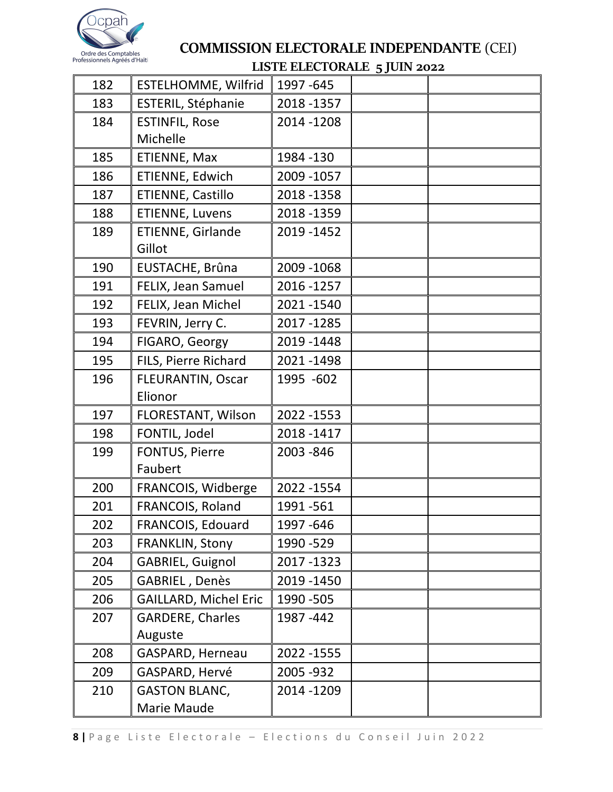

| 182 | ESTELHOMME, Wilfrid          | ho in http://www.grouve.com<br>1997 - 645 |  |
|-----|------------------------------|-------------------------------------------|--|
| 183 | ESTERIL, Stéphanie           | 2018 - 1357                               |  |
| 184 | <b>ESTINFIL, Rose</b>        | 2014 - 1208                               |  |
|     | Michelle                     |                                           |  |
| 185 | ETIENNE, Max                 | 1984 - 130                                |  |
| 186 | ETIENNE, Edwich              | 2009 - 1057                               |  |
| 187 | ETIENNE, Castillo            | 2018 - 1358                               |  |
| 188 | ETIENNE, Luvens              | 2018 - 1359                               |  |
| 189 | ETIENNE, Girlande            | 2019 - 1452                               |  |
|     | Gillot                       |                                           |  |
| 190 | EUSTACHE, Brûna              | 2009 - 1068                               |  |
| 191 | FELIX, Jean Samuel           | 2016 - 1257                               |  |
| 192 | FELIX, Jean Michel           | 2021-1540                                 |  |
| 193 | FEVRIN, Jerry C.             | 2017-1285                                 |  |
| 194 | FIGARO, Georgy               | 2019 - 1448                               |  |
| 195 | FILS, Pierre Richard         | 2021-1498                                 |  |
| 196 | FLEURANTIN, Oscar            | 1995 -602                                 |  |
|     | Elionor                      |                                           |  |
| 197 | FLORESTANT, Wilson           | 2022 - 1553                               |  |
| 198 | FONTIL, Jodel                | 2018-1417                                 |  |
| 199 | FONTUS, Pierre               | 2003 - 846                                |  |
|     | Faubert                      |                                           |  |
| 200 | FRANCOIS, Widberge           | 2022 - 1554                               |  |
| 201 | FRANCOIS, Roland             | 1991 - 561                                |  |
| 202 | FRANCOIS, Edouard            | 1997 - 646                                |  |
| 203 | <b>FRANKLIN, Stony</b>       | 1990 - 529                                |  |
| 204 | <b>GABRIEL, Guignol</b>      | 2017-1323                                 |  |
| 205 | GABRIEL, Denès               | 2019 - 1450                               |  |
| 206 | <b>GAILLARD, Michel Eric</b> | 1990 - 505                                |  |
| 207 | <b>GARDERE, Charles</b>      | 1987 - 442                                |  |
|     | Auguste                      |                                           |  |
| 208 | <b>GASPARD, Herneau</b>      | 2022 - 1555                               |  |
| 209 | GASPARD, Hervé               | 2005 - 932                                |  |
| 210 | <b>GASTON BLANC,</b>         | 2014 - 1209                               |  |
|     | Marie Maude                  |                                           |  |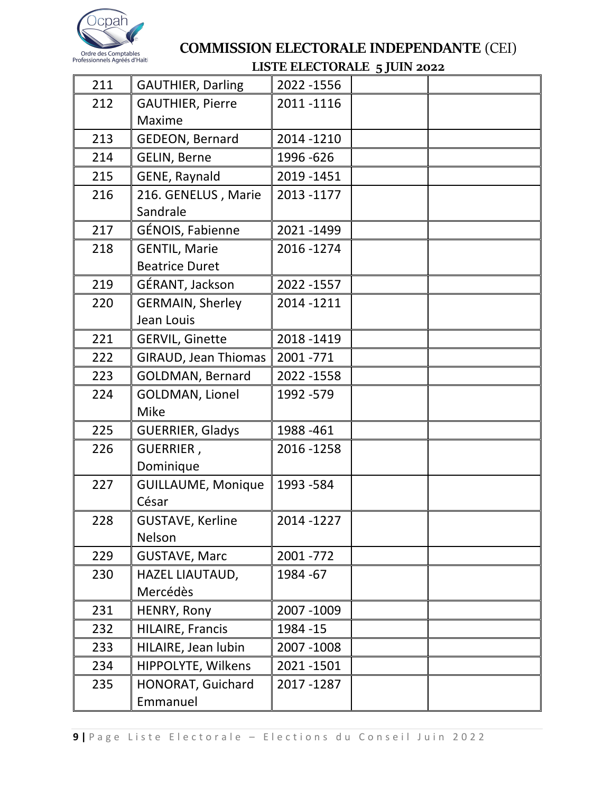

|     |                             | LOTE ELECTORALE 5 JOIN 2022 |  |
|-----|-----------------------------|-----------------------------|--|
| 211 | <b>GAUTHIER, Darling</b>    | 2022 - 1556                 |  |
| 212 | <b>GAUTHIER, Pierre</b>     | 2011-1116                   |  |
|     | Maxime                      |                             |  |
| 213 | <b>GEDEON, Bernard</b>      | 2014 - 1210                 |  |
| 214 | GELIN, Berne                | 1996 - 626                  |  |
| 215 | GENE, Raynald               | 2019 - 1451                 |  |
| 216 | 216. GENELUS, Marie         | 2013-1177                   |  |
|     | Sandrale                    |                             |  |
| 217 | GÉNOIS, Fabienne            | 2021-1499                   |  |
| 218 | <b>GENTIL, Marie</b>        | 2016-1274                   |  |
|     | <b>Beatrice Duret</b>       |                             |  |
| 219 | GÉRANT, Jackson             | 2022 - 1557                 |  |
| 220 | <b>GERMAIN, Sherley</b>     | 2014 - 1211                 |  |
|     | Jean Louis                  |                             |  |
| 221 | <b>GERVIL, Ginette</b>      | 2018 - 1419                 |  |
| 222 | <b>GIRAUD, Jean Thiomas</b> | 2001 - 771                  |  |
| 223 | GOLDMAN, Bernard            | 2022 - 1558                 |  |
| 224 | GOLDMAN, Lionel             | 1992 - 579                  |  |
|     | <b>Mike</b>                 |                             |  |
| 225 | <b>GUERRIER, Gladys</b>     | 1988-461                    |  |
| 226 | GUERRIER,                   | 2016 - 1258                 |  |
|     | Dominique                   |                             |  |
| 227 | <b>GUILLAUME, Monique</b>   | 1993 - 584                  |  |
|     | César                       |                             |  |
| 228 | <b>GUSTAVE, Kerline</b>     | 2014 -1227                  |  |
|     | Nelson                      |                             |  |
| 229 | <b>GUSTAVE, Marc</b>        | 2001 - 772                  |  |
| 230 | HAZEL LIAUTAUD,             | 1984 - 67                   |  |
|     | Mercédès                    |                             |  |
| 231 | HENRY, Rony                 | 2007-1009                   |  |
| 232 | HILAIRE, Francis            | 1984 - 15                   |  |
| 233 | HILAIRE, Jean lubin         | 2007-1008                   |  |
| 234 | HIPPOLYTE, Wilkens          | 2021-1501                   |  |
| 235 | HONORAT, Guichard           | 2017 - 1287                 |  |
|     | Emmanuel                    |                             |  |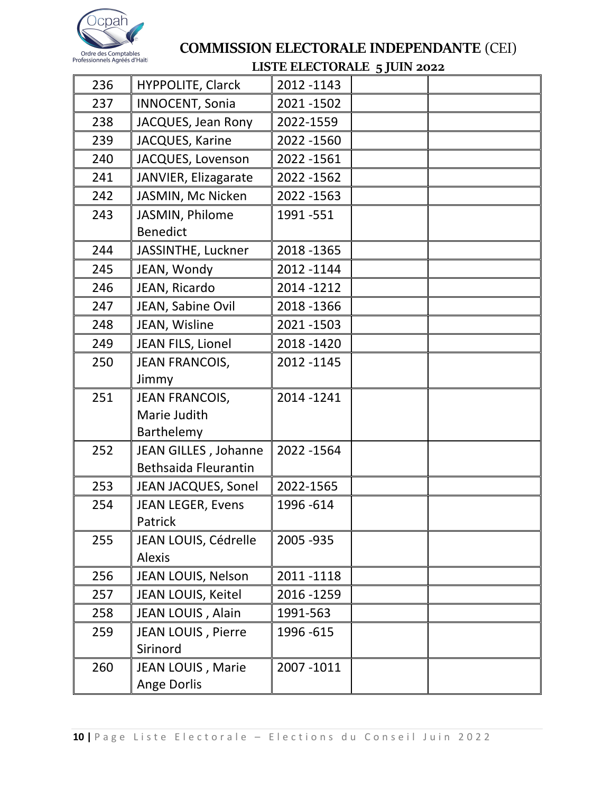

# COMMISSION ELECTORALE INDEPENDANTE (CEI)

## LISTE ELECTORALE 5 JUIN 2022

| 236 | <b>HYPPOLITE, Clarck</b>                            | 2012 - 1143              |  |
|-----|-----------------------------------------------------|--------------------------|--|
| 237 | <b>INNOCENT, Sonia</b>                              | 2021-1502                |  |
| 238 | JACQUES, Jean Rony                                  | 2022-1559                |  |
| 239 | JACQUES, Karine                                     | 2022 - 1560              |  |
| 240 | JACQUES, Lovenson                                   | 2022 - 1561              |  |
| 241 | JANVIER, Elizagarate                                | 2022 - 1562              |  |
| 242 | JASMIN, Mc Nicken                                   | 2022 - 1563              |  |
| 243 | JASMIN, Philome<br><b>Benedict</b>                  | 1991 - 551               |  |
| 244 | JASSINTHE, Luckner                                  | 2018 - 1365              |  |
| 245 |                                                     | 2012 - 1144              |  |
| 246 | JEAN, Wondy                                         | 2014 - 1212              |  |
|     | JEAN, Ricardo                                       |                          |  |
| 247 | JEAN, Sabine Ovil                                   | 2018 - 1366<br>2021-1503 |  |
| 248 | JEAN, Wisline                                       |                          |  |
| 249 | JEAN FILS, Lionel                                   | 2018-1420                |  |
| 250 | <b>JEAN FRANCOIS,</b><br>Jimmy                      | 2012 - 1145              |  |
| 251 | <b>JEAN FRANCOIS,</b><br>Marie Judith<br>Barthelemy | 2014-1241                |  |
| 252 | JEAN GILLES, Johanne<br><b>Bethsaida Fleurantin</b> | 2022 - 1564              |  |
| 253 | JEAN JACQUES, Sonel                                 | 2022-1565                |  |
| 254 | <b>JEAN LEGER, Evens</b><br>Patrick                 | 1996-614                 |  |
| 255 | JEAN LOUIS, Cédrelle<br>Alexis                      | 2005 - 935               |  |
| 256 | JEAN LOUIS, Nelson                                  | 2011-1118                |  |
| 257 | JEAN LOUIS, Keitel                                  | 2016 - 1259              |  |
| 258 | JEAN LOUIS, Alain                                   | 1991-563                 |  |
| 259 | JEAN LOUIS, Pierre<br>Sirinord                      | 1996 - 615               |  |
| 260 | JEAN LOUIS, Marie<br>Ange Dorlis                    | 2007-1011                |  |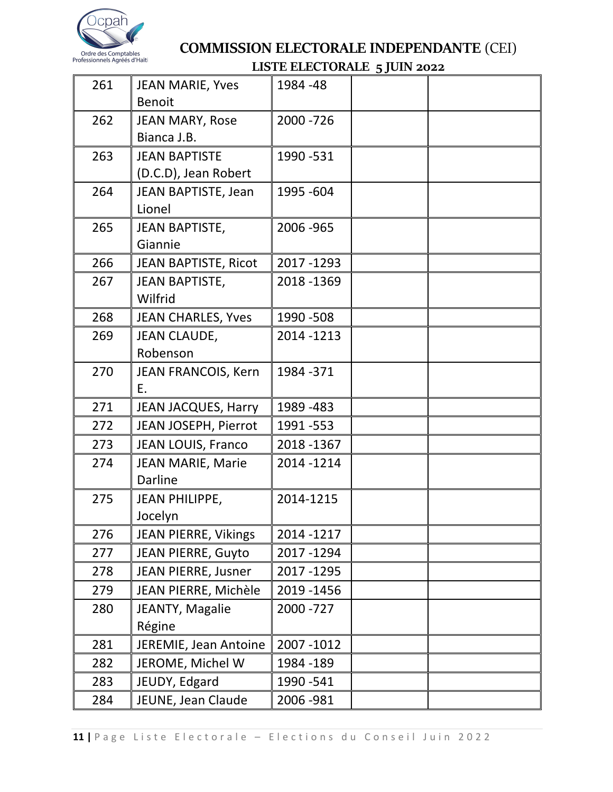

| 261 | JEAN MARIE, Yves            | 1984 - 48   | 33 J L L L |  |
|-----|-----------------------------|-------------|------------|--|
|     | <b>Benoit</b>               |             |            |  |
| 262 | <b>JEAN MARY, Rose</b>      | 2000 - 726  |            |  |
|     | Bianca J.B.                 |             |            |  |
| 263 | <b>JEAN BAPTISTE</b>        | 1990 - 531  |            |  |
|     | (D.C.D), Jean Robert        |             |            |  |
| 264 | JEAN BAPTISTE, Jean         | 1995 - 604  |            |  |
|     | Lionel                      |             |            |  |
| 265 | <b>JEAN BAPTISTE,</b>       | 2006 - 965  |            |  |
|     | Giannie                     |             |            |  |
| 266 | <b>JEAN BAPTISTE, Ricot</b> | 2017-1293   |            |  |
| 267 | JEAN BAPTISTE,              | 2018 - 1369 |            |  |
|     | Wilfrid                     |             |            |  |
| 268 | <b>JEAN CHARLES, Yves</b>   | 1990 - 508  |            |  |
| 269 | <b>JEAN CLAUDE,</b>         | 2014 - 1213 |            |  |
|     | Robenson                    |             |            |  |
| 270 | JEAN FRANCOIS, Kern         | 1984 - 371  |            |  |
|     | Ε.                          |             |            |  |
| 271 | <b>JEAN JACQUES, Harry</b>  | 1989 - 483  |            |  |
| 272 | JEAN JOSEPH, Pierrot        | 1991 - 553  |            |  |
| 273 | JEAN LOUIS, Franco          | 2018-1367   |            |  |
| 274 | JEAN MARIE, Marie           | 2014-1214   |            |  |
|     | <b>Darline</b>              |             |            |  |
| 275 | <b>JEAN PHILIPPE,</b>       | 2014-1215   |            |  |
|     | Jocelyn                     |             |            |  |
| 276 | <b>JEAN PIERRE, Vikings</b> | 2014 - 1217 |            |  |
| 277 | <b>JEAN PIERRE, Guyto</b>   | 2017-1294   |            |  |
| 278 | JEAN PIERRE, Jusner         | 2017-1295   |            |  |
| 279 | JEAN PIERRE, Michèle        | 2019 - 1456 |            |  |
| 280 | JEANTY, Magalie             | 2000 - 727  |            |  |
|     | Régine                      |             |            |  |
| 281 | JEREMIE, Jean Antoine       | 2007-1012   |            |  |
| 282 | JEROME, Michel W            | 1984 - 189  |            |  |
| 283 | JEUDY, Edgard               | 1990 - 541  |            |  |
| 284 | JEUNE, Jean Claude          | 2006 - 981  |            |  |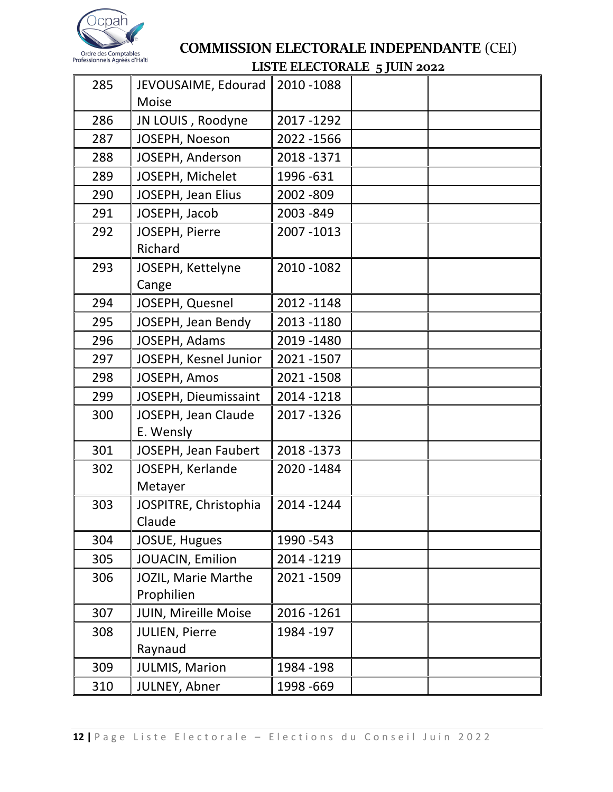

| 285 | JEVOUSAIME, Edourad<br><b>Moise</b> | 2010 - 1088 |  |
|-----|-------------------------------------|-------------|--|
| 286 | JN LOUIS, Roodyne                   | 2017-1292   |  |
| 287 | JOSEPH, Noeson                      | 2022 - 1566 |  |
| 288 | JOSEPH, Anderson                    | 2018-1371   |  |
| 289 | JOSEPH, Michelet                    | 1996 - 631  |  |
| 290 | JOSEPH, Jean Elius                  | 2002 - 809  |  |
| 291 | JOSEPH, Jacob                       | 2003 - 849  |  |
| 292 | JOSEPH, Pierre<br>Richard           | 2007 - 1013 |  |
| 293 | JOSEPH, Kettelyne<br>Cange          | 2010 - 1082 |  |
| 294 | JOSEPH, Quesnel                     | 2012 - 1148 |  |
| 295 | JOSEPH, Jean Bendy                  | 2013 - 1180 |  |
| 296 | JOSEPH, Adams                       | 2019 - 1480 |  |
| 297 | JOSEPH, Kesnel Junior               | 2021-1507   |  |
| 298 | JOSEPH, Amos                        | 2021-1508   |  |
| 299 | JOSEPH, Dieumissaint                | 2014 - 1218 |  |
| 300 | JOSEPH, Jean Claude<br>E. Wensly    | 2017-1326   |  |
| 301 | JOSEPH, Jean Faubert                | 2018 - 1373 |  |
| 302 | JOSEPH, Kerlande<br>Metayer         | 2020 - 1484 |  |
| 303 | JOSPITRE, Christophia<br>Claude     | 2014 - 1244 |  |
| 304 | JOSUE, Hugues                       | 1990 - 543  |  |
| 305 | JOUACIN, Emilion                    | 2014 - 1219 |  |
| 306 | JOZIL, Marie Marthe<br>Prophilien   | 2021-1509   |  |
| 307 | JUIN, Mireille Moise                | 2016 - 1261 |  |
| 308 | JULIEN, Pierre<br>Raynaud           | 1984 - 197  |  |
| 309 | <b>JULMIS, Marion</b>               | 1984 - 198  |  |
| 310 | JULNEY, Abner                       | 1998 - 669  |  |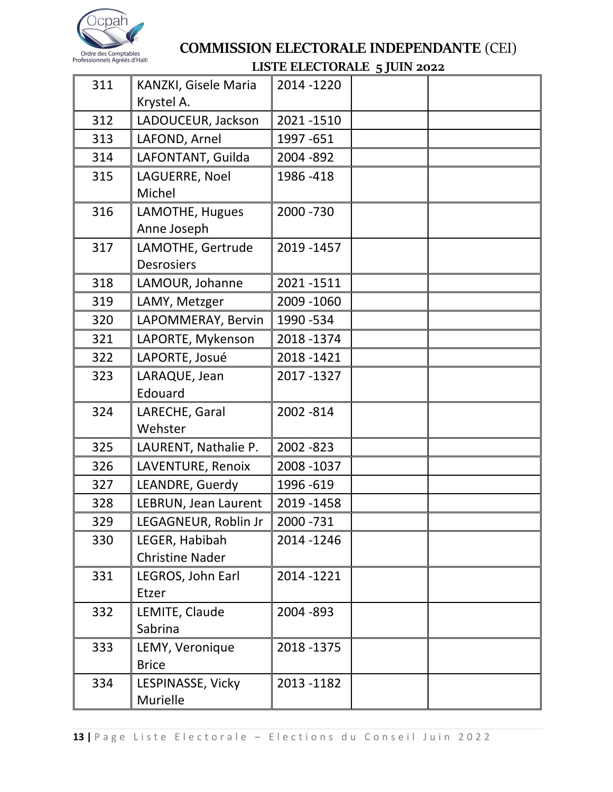

| 311 | KANZKI, Gisele Maria<br>Krystel A.       | 2014 - 1220 |  |
|-----|------------------------------------------|-------------|--|
| 312 | LADOUCEUR, Jackson                       | 2021-1510   |  |
| 313 | LAFOND, Arnel                            | 1997 - 651  |  |
| 314 | LAFONTANT, Guilda                        | 2004 - 892  |  |
| 315 | LAGUERRE, Noel<br>Michel                 | 1986-418    |  |
| 316 | LAMOTHE, Hugues<br>Anne Joseph           | 2000 - 730  |  |
| 317 | LAMOTHE, Gertrude<br><b>Desrosiers</b>   | 2019 - 1457 |  |
| 318 | LAMOUR, Johanne                          | 2021-1511   |  |
| 319 | LAMY, Metzger                            | 2009 - 1060 |  |
| 320 | LAPOMMERAY, Bervin                       | 1990 - 534  |  |
| 321 | LAPORTE, Mykenson                        | 2018-1374   |  |
| 322 | LAPORTE, Josué                           | 2018-1421   |  |
| 323 | LARAQUE, Jean<br>Edouard                 | 2017-1327   |  |
| 324 | LARECHE, Garal<br>Wehster                | 2002 - 814  |  |
| 325 | LAURENT, Nathalie P.                     | 2002 - 823  |  |
| 326 | LAVENTURE, Renoix                        | 2008 - 1037 |  |
| 327 | LEANDRE, Guerdy                          | 1996 - 619  |  |
| 328 | LEBRUN, Jean Laurent                     | 2019 - 1458 |  |
| 329 | LEGAGNEUR, Roblin Jr                     | 2000 - 731  |  |
| 330 | LEGER, Habibah<br><b>Christine Nader</b> | 2014 - 1246 |  |
| 331 | LEGROS, John Earl<br>Etzer               | 2014 - 1221 |  |
| 332 | LEMITE, Claude<br>Sabrina                | 2004 - 893  |  |
| 333 | LEMY, Veronique<br><b>Brice</b>          | 2018 - 1375 |  |
| 334 | LESPINASSE, Vicky<br>Murielle            | 2013 - 1182 |  |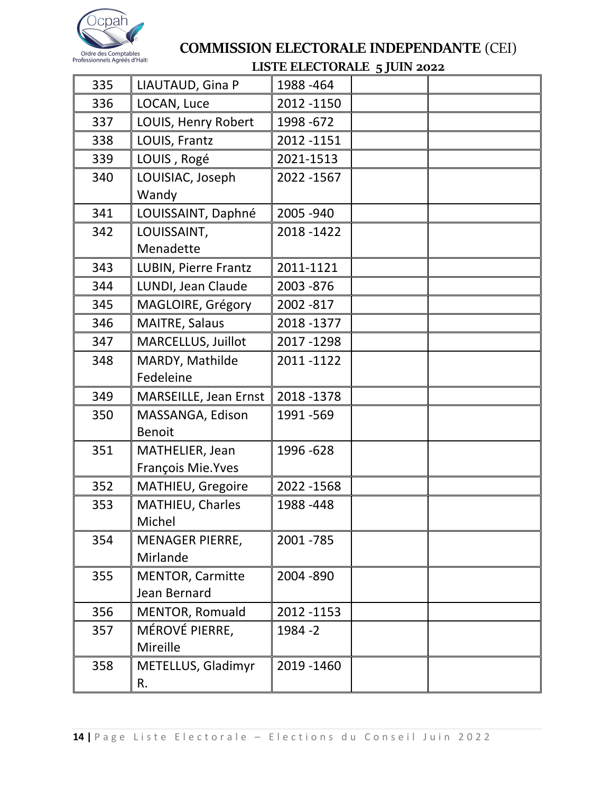

# COMMISSION ELECTORALE INDEPENDANTE (CEI)

## LISTE ELECTORALE 5 JUIN 2022

| 335 | LIAUTAUD, Gina P                        | 1988-464    |  |
|-----|-----------------------------------------|-------------|--|
| 336 | LOCAN, Luce                             | 2012 -1150  |  |
| 337 | LOUIS, Henry Robert                     | 1998 - 672  |  |
| 338 | LOUIS, Frantz                           | 2012 - 1151 |  |
| 339 | LOUIS, Rogé                             | 2021-1513   |  |
| 340 | LOUISIAC, Joseph<br>Wandy               | 2022 - 1567 |  |
| 341 | LOUISSAINT, Daphné                      | 2005 - 940  |  |
| 342 | LOUISSAINT,<br>Menadette                | 2018 - 1422 |  |
| 343 | LUBIN, Pierre Frantz                    | 2011-1121   |  |
| 344 | LUNDI, Jean Claude                      | 2003 - 876  |  |
| 345 | MAGLOIRE, Grégory                       | 2002 - 817  |  |
| 346 | MAITRE, Salaus                          | 2018 - 1377 |  |
| 347 | MARCELLUS, Juillot                      | 2017-1298   |  |
| 348 | MARDY, Mathilde<br>Fedeleine            | 2011-1122   |  |
| 349 | MARSEILLE, Jean Ernst                   | 2018-1378   |  |
| 350 | MASSANGA, Edison<br><b>Benoit</b>       | 1991 - 569  |  |
| 351 | MATHELIER, Jean<br>François Mie. Yves   | 1996 - 628  |  |
| 352 | MATHIEU, Gregoire                       | 2022 - 1568 |  |
| 353 | MATHIEU, Charles<br>Michel              | 1988-448    |  |
| 354 | <b>MENAGER PIERRE,</b><br>Mirlande      | 2001 - 785  |  |
| 355 | <b>MENTOR, Carmitte</b><br>Jean Bernard | 2004 - 890  |  |
| 356 | MENTOR, Romuald                         | 2012 - 1153 |  |
| 357 | MÉROVÉ PIERRE,<br>Mireille              | 1984 - 2    |  |
| 358 | METELLUS, Gladimyr<br>R.                | 2019 - 1460 |  |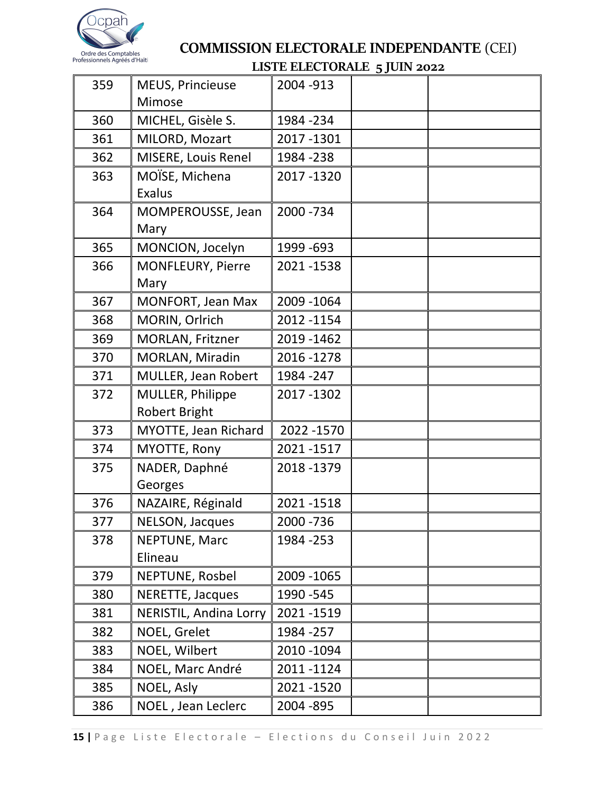

| 359 | MEUS, Princieuse<br>Mimose        | 2004 - 913  |  |
|-----|-----------------------------------|-------------|--|
| 360 | MICHEL, Gisèle S.                 | 1984 - 234  |  |
| 361 | MILORD, Mozart                    | 2017-1301   |  |
| 362 | MISERE, Louis Renel               | 1984 - 238  |  |
| 363 | MOÏSE, Michena<br><b>Exalus</b>   | 2017-1320   |  |
| 364 | MOMPEROUSSE, Jean<br>Mary         | 2000 - 734  |  |
| 365 | MONCION, Jocelyn                  | 1999 - 693  |  |
| 366 | MONFLEURY, Pierre<br>Mary         | 2021-1538   |  |
| 367 | MONFORT, Jean Max                 | 2009 - 1064 |  |
| 368 | MORIN, Orlrich                    | 2012 - 1154 |  |
| 369 | MORLAN, Fritzner                  | 2019 - 1462 |  |
| 370 | MORLAN, Miradin                   | 2016-1278   |  |
| 371 | MULLER, Jean Robert               | 1984 - 247  |  |
| 372 | MULLER, Philippe<br>Robert Bright | 2017-1302   |  |
| 373 | MYOTTE, Jean Richard              | 2022 - 1570 |  |
| 374 | MYOTTE, Rony                      | 2021-1517   |  |
| 375 | NADER, Daphné<br>Georges          | 2018 - 1379 |  |
| 376 | NAZAIRE, Réginald                 | 2021-1518   |  |
| 377 | NELSON, Jacques                   | 2000 - 736  |  |
| 378 | <b>NEPTUNE, Marc</b><br>Elineau   | 1984 - 253  |  |
| 379 | NEPTUNE, Rosbel                   | 2009 - 1065 |  |
| 380 | NERETTE, Jacques                  | 1990 - 545  |  |
| 381 | <b>NERISTIL, Andina Lorry</b>     | 2021-1519   |  |
| 382 | NOEL, Grelet                      | 1984 - 257  |  |
| 383 | NOEL, Wilbert                     | 2010 - 1094 |  |
| 384 | NOEL, Marc André                  | 2011-1124   |  |
| 385 | NOEL, Asly                        | 2021-1520   |  |
| 386 | NOEL, Jean Leclerc                | 2004 - 895  |  |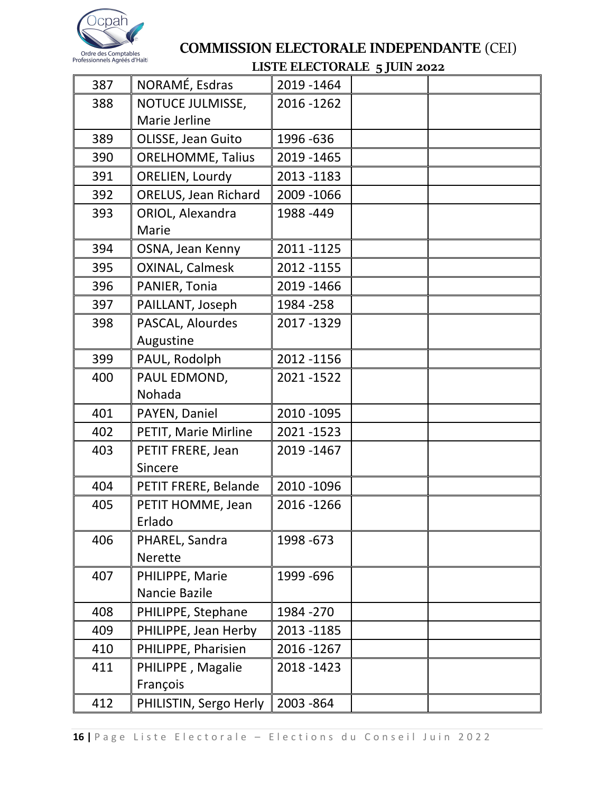

|     |                          | LOTE LLECTON LLE 5 JOIN 2022 |  |
|-----|--------------------------|------------------------------|--|
| 387 | NORAMÉ, Esdras           | 2019 - 1464                  |  |
| 388 | NOTUCE JULMISSE,         | 2016 - 1262                  |  |
|     | Marie Jerline            |                              |  |
| 389 | OLISSE, Jean Guito       | 1996-636                     |  |
| 390 | <b>ORELHOMME, Talius</b> | 2019 - 1465                  |  |
| 391 | ORELIEN, Lourdy          | 2013 - 1183                  |  |
| 392 | ORELUS, Jean Richard     | 2009 - 1066                  |  |
| 393 | ORIOL, Alexandra         | 1988-449                     |  |
|     | Marie                    |                              |  |
| 394 | OSNA, Jean Kenny         | 2011-1125                    |  |
| 395 | <b>OXINAL, Calmesk</b>   | 2012 - 1155                  |  |
| 396 | PANIER, Tonia            | 2019 - 1466                  |  |
| 397 | PAILLANT, Joseph         | 1984 - 258                   |  |
| 398 | PASCAL, Alourdes         | 2017-1329                    |  |
|     | Augustine                |                              |  |
| 399 | PAUL, Rodolph            | 2012 - 1156                  |  |
| 400 | PAUL EDMOND,             | 2021-1522                    |  |
|     | Nohada                   |                              |  |
| 401 | PAYEN, Daniel            | 2010 - 1095                  |  |
| 402 | PETIT, Marie Mirline     | 2021-1523                    |  |
| 403 | PETIT FRERE, Jean        | 2019 - 1467                  |  |
|     | Sincere                  |                              |  |
| 404 | PETIT FRERE, Belande     | 2010 - 1096                  |  |
| 405 | PETIT HOMME, Jean        | 2016 - 1266                  |  |
|     | Erlado                   |                              |  |
| 406 | PHAREL, Sandra           | 1998 - 673                   |  |
|     | <b>Nerette</b>           |                              |  |
| 407 | PHILIPPE, Marie          | 1999 - 696                   |  |
|     | Nancie Bazile            |                              |  |
| 408 | PHILIPPE, Stephane       | 1984 - 270                   |  |
| 409 | PHILIPPE, Jean Herby     | 2013 - 1185                  |  |
| 410 | PHILIPPE, Pharisien      | 2016 - 1267                  |  |
| 411 | PHILIPPE, Magalie        | 2018 - 1423                  |  |
|     | François                 |                              |  |
| 412 | PHILISTIN, Sergo Herly   | 2003 - 864                   |  |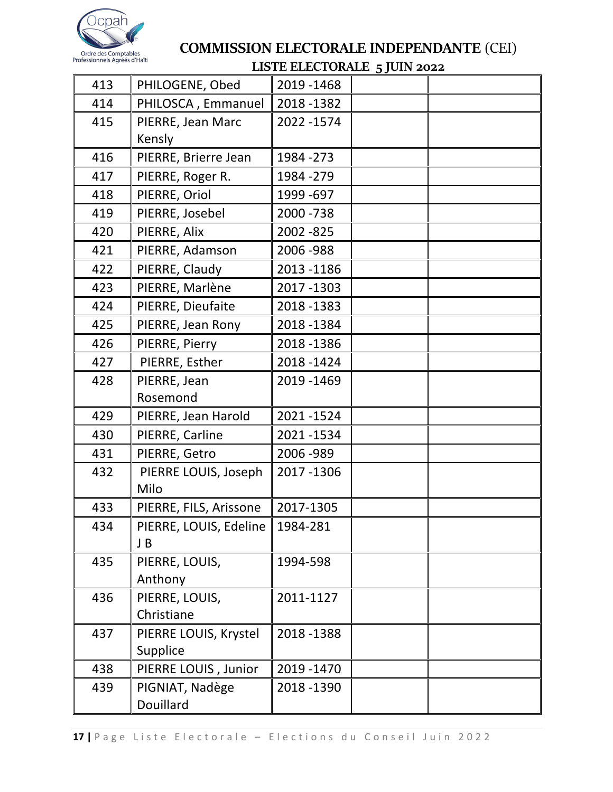

|     |                        | LOTE LEECTOR LEE 5 JOIN 2022 |  |
|-----|------------------------|------------------------------|--|
| 413 | PHILOGENE, Obed        | 2019 - 1468                  |  |
| 414 | PHILOSCA, Emmanuel     | 2018 - 1382                  |  |
| 415 | PIERRE, Jean Marc      | 2022 - 1574                  |  |
|     | Kensly                 |                              |  |
| 416 | PIERRE, Brierre Jean   | 1984 - 273                   |  |
| 417 | PIERRE, Roger R.       | 1984 - 279                   |  |
| 418 | PIERRE, Oriol          | 1999 - 697                   |  |
| 419 | PIERRE, Josebel        | 2000 - 738                   |  |
| 420 | PIERRE, Alix           | 2002 - 825                   |  |
| 421 | PIERRE, Adamson        | 2006 - 988                   |  |
| 422 | PIERRE, Claudy         | 2013 - 1186                  |  |
| 423 | PIERRE, Marlène        | 2017-1303                    |  |
| 424 | PIERRE, Dieufaite      | 2018 - 1383                  |  |
| 425 | PIERRE, Jean Rony      | 2018-1384                    |  |
| 426 | PIERRE, Pierry         | 2018-1386                    |  |
| 427 | PIERRE, Esther         | 2018-1424                    |  |
| 428 | PIERRE, Jean           | 2019 - 1469                  |  |
|     | Rosemond               |                              |  |
| 429 | PIERRE, Jean Harold    | 2021-1524                    |  |
| 430 | PIERRE, Carline        | 2021-1534                    |  |
| 431 | PIERRE, Getro          | 2006 - 989                   |  |
| 432 | PIERRE LOUIS, Joseph   | 2017-1306                    |  |
|     | Milo                   |                              |  |
| 433 | PIERRE, FILS, Arissone | 2017-1305                    |  |
| 434 | PIERRE, LOUIS, Edeline | 1984-281                     |  |
|     | J B                    |                              |  |
| 435 | PIERRE, LOUIS,         | 1994-598                     |  |
|     | Anthony                |                              |  |
| 436 | PIERRE, LOUIS,         | 2011-1127                    |  |
|     | Christiane             |                              |  |
| 437 | PIERRE LOUIS, Krystel  | 2018 - 1388                  |  |
|     | Supplice               |                              |  |
| 438 | PIERRE LOUIS, Junior   | 2019 - 1470                  |  |
| 439 | PIGNIAT, Nadège        | 2018 - 1390                  |  |
|     | Douillard              |                              |  |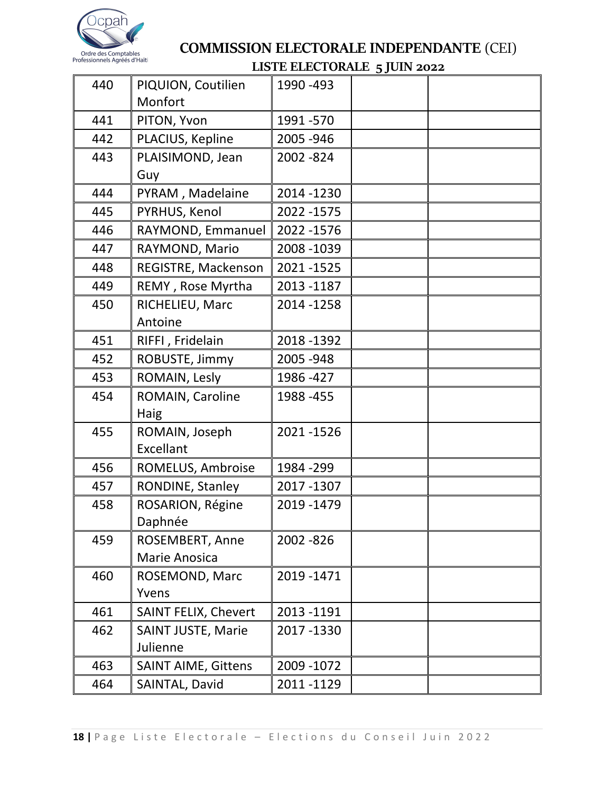

| 440 | PIQUION, Coutilien<br>Monfort | 1990 - 493  |  |
|-----|-------------------------------|-------------|--|
| 441 | PITON, Yvon                   | 1991 - 570  |  |
| 442 | PLACIUS, Kepline              | 2005 - 946  |  |
| 443 | PLAISIMOND, Jean              | 2002 - 824  |  |
|     | Guy                           |             |  |
| 444 | PYRAM, Madelaine              | 2014 - 1230 |  |
| 445 | PYRHUS, Kenol                 | 2022 - 1575 |  |
| 446 | RAYMOND, Emmanuel             | 2022 - 1576 |  |
| 447 | RAYMOND, Mario                | 2008 - 1039 |  |
| 448 | REGISTRE, Mackenson           | 2021-1525   |  |
| 449 | REMY, Rose Myrtha             | 2013 - 1187 |  |
| 450 | RICHELIEU, Marc<br>Antoine    | 2014 - 1258 |  |
| 451 | RIFFI, Fridelain              | 2018 - 1392 |  |
| 452 | ROBUSTE, Jimmy                | 2005 - 948  |  |
| 453 | ROMAIN, Lesly                 | 1986 - 427  |  |
| 454 | ROMAIN, Caroline              | 1988 - 455  |  |
|     | Haig                          |             |  |
| 455 | ROMAIN, Joseph                | 2021-1526   |  |
|     | Excellant                     |             |  |
| 456 | ROMELUS, Ambroise             | 1984 - 299  |  |
| 457 | RONDINE, Stanley              | 2017-1307   |  |
| 458 | ROSARION, Régine              | 2019 - 1479 |  |
|     | Daphnée                       |             |  |
| 459 | ROSEMBERT, Anne               | 2002 - 826  |  |
|     | Marie Anosica                 |             |  |
| 460 | ROSEMOND, Marc                | 2019 - 1471 |  |
|     | Yvens                         |             |  |
| 461 | <b>SAINT FELIX, Chevert</b>   | 2013 -1191  |  |
| 462 | <b>SAINT JUSTE, Marie</b>     | 2017-1330   |  |
|     | Julienne                      |             |  |
| 463 | <b>SAINT AIME, Gittens</b>    | 2009 - 1072 |  |
| 464 | SAINTAL, David                | 2011-1129   |  |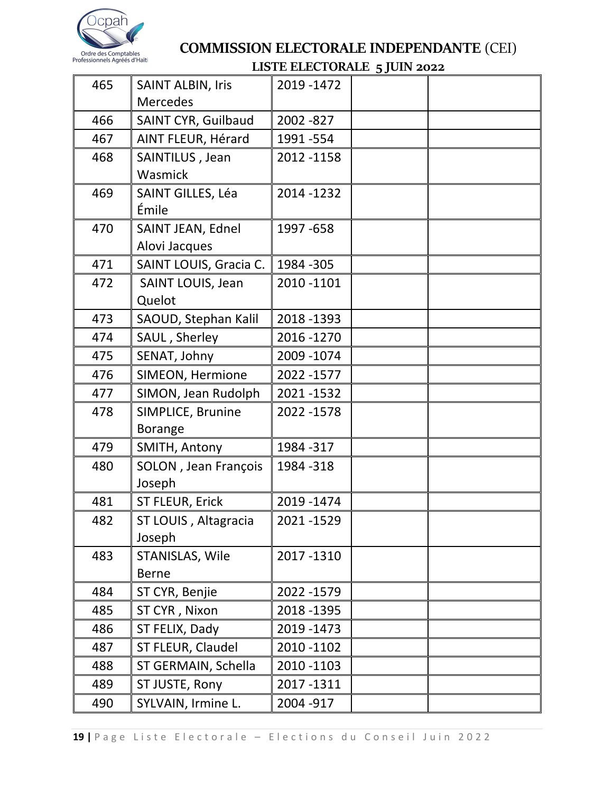

| 465 | <b>SAINT ALBIN, Iris</b><br><b>Mercedes</b> | 2019 - 1472 |  |
|-----|---------------------------------------------|-------------|--|
| 466 | <b>SAINT CYR, Guilbaud</b>                  | 2002 - 827  |  |
| 467 | AINT FLEUR, Hérard                          | 1991 - 554  |  |
| 468 | SAINTILUS, Jean                             | 2012 - 1158 |  |
|     | Wasmick                                     |             |  |
| 469 | SAINT GILLES, Léa<br>Émile                  | 2014 - 1232 |  |
| 470 | SAINT JEAN, Ednel<br>Alovi Jacques          | 1997 - 658  |  |
| 471 | SAINT LOUIS, Gracia C.                      | 1984 - 305  |  |
| 472 | SAINT LOUIS, Jean<br>Quelot                 | 2010 - 1101 |  |
| 473 | SAOUD, Stephan Kalil                        | 2018 - 1393 |  |
| 474 | SAUL, Sherley                               | 2016 - 1270 |  |
| 475 | SENAT, Johny                                | 2009 - 1074 |  |
| 476 | SIMEON, Hermione                            | 2022 - 1577 |  |
| 477 | SIMON, Jean Rudolph                         | 2021-1532   |  |
| 478 | SIMPLICE, Brunine<br><b>Borange</b>         | 2022 - 1578 |  |
| 479 | SMITH, Antony                               | 1984 - 317  |  |
| 480 | SOLON, Jean François<br>Joseph              | 1984 - 318  |  |
| 481 | ST FLEUR, Erick                             | 2019 - 1474 |  |
| 482 | ST LOUIS, Altagracia<br>Joseph              | 2021-1529   |  |
| 483 | STANISLAS, Wile<br><b>Berne</b>             | 2017-1310   |  |
| 484 | ST CYR, Benjie                              | 2022 - 1579 |  |
| 485 | ST CYR, Nixon                               | 2018 - 1395 |  |
| 486 | ST FELIX, Dady                              | 2019 - 1473 |  |
| 487 | ST FLEUR, Claudel                           | 2010 - 1102 |  |
| 488 | ST GERMAIN, Schella                         | 2010 - 1103 |  |
| 489 | ST JUSTE, Rony                              | 2017-1311   |  |
| 490 | SYLVAIN, Irmine L.                          | 2004 - 917  |  |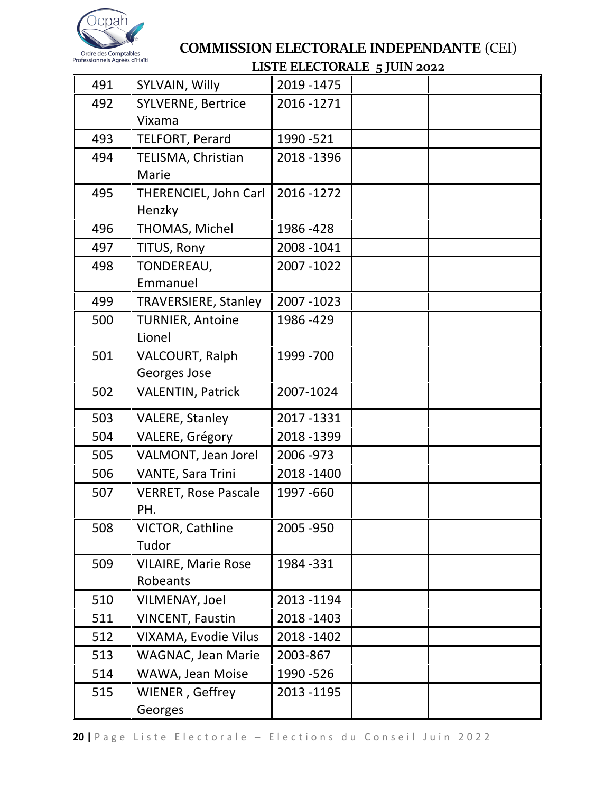

|     |                             | mo на пристому продоли 2022 |  |
|-----|-----------------------------|-----------------------------|--|
| 491 | SYLVAIN, Willy              | 2019 - 1475                 |  |
| 492 | <b>SYLVERNE, Bertrice</b>   | 2016 - 1271                 |  |
|     | Vixama                      |                             |  |
| 493 | <b>TELFORT, Perard</b>      | 1990 - 521                  |  |
| 494 | TELISMA, Christian          | 2018-1396                   |  |
|     | Marie                       |                             |  |
| 495 | THERENCIEL, John Carl       | 2016 - 1272                 |  |
|     | Henzky                      |                             |  |
| 496 | THOMAS, Michel              | 1986 - 428                  |  |
| 497 | TITUS, Rony                 | 2008-1041                   |  |
| 498 | TONDEREAU,                  | 2007-1022                   |  |
|     | Emmanuel                    |                             |  |
| 499 | <b>TRAVERSIERE, Stanley</b> | 2007-1023                   |  |
| 500 | <b>TURNIER, Antoine</b>     | 1986 - 429                  |  |
|     | Lionel                      |                             |  |
| 501 | <b>VALCOURT, Ralph</b>      | 1999 - 700                  |  |
|     | Georges Jose                |                             |  |
| 502 | <b>VALENTIN, Patrick</b>    | 2007-1024                   |  |
| 503 | <b>VALERE, Stanley</b>      | 2017-1331                   |  |
| 504 | VALERE, Grégory             | 2018 - 1399                 |  |
| 505 | VALMONT, Jean Jorel         | 2006 - 973                  |  |
| 506 | <b>VANTE, Sara Trini</b>    | 2018 - 1400                 |  |
| 507 | <b>VERRET, Rose Pascale</b> | 1997 - 660                  |  |
|     | PH.                         |                             |  |
| 508 | VICTOR, Cathline            | 2005 - 950                  |  |
|     | Tudor                       |                             |  |
| 509 | <b>VILAIRE, Marie Rose</b>  | 1984 - 331                  |  |
|     | Robeants                    |                             |  |
| 510 | VILMENAY, Joel              | 2013-1194                   |  |
| 511 | <b>VINCENT, Faustin</b>     | 2018 - 1403                 |  |
| 512 | VIXAMA, Evodie Vilus        | 2018 - 1402                 |  |
| 513 | <b>WAGNAC, Jean Marie</b>   | 2003-867                    |  |
| 514 | WAWA, Jean Moise            | 1990 - 526                  |  |
| 515 | WIENER, Geffrey             | 2013 - 1195                 |  |
|     | Georges                     |                             |  |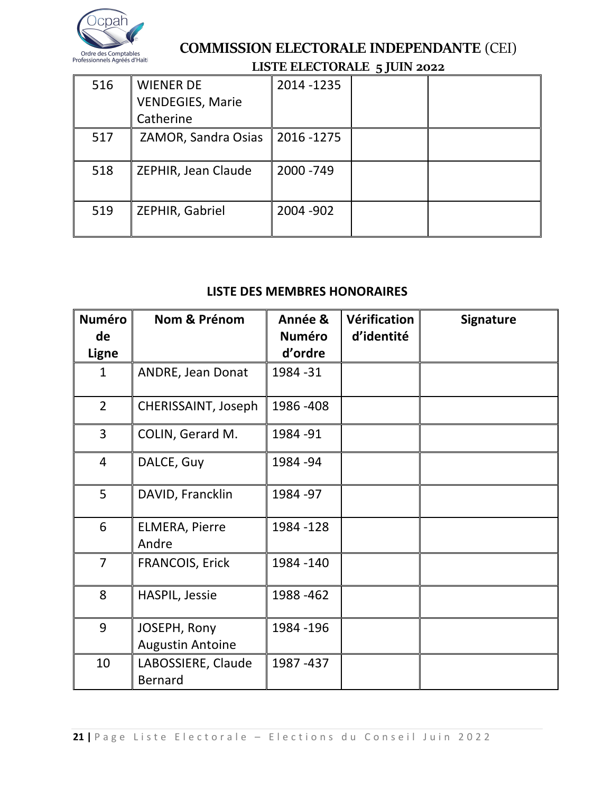

|     |                                                          |             | JJ - -- |  |
|-----|----------------------------------------------------------|-------------|---------|--|
| 516 | <b>WIENER DE</b><br><b>VENDEGIES, Marie</b><br>Catherine | 2014 - 1235 |         |  |
| 517 | ZAMOR, Sandra Osias                                      | 2016 - 1275 |         |  |
| 518 | ZEPHIR, Jean Claude                                      | 2000 - 749  |         |  |
| 519 | ZEPHIR, Gabriel                                          | 2004 - 902  |         |  |

### **LISTE DES MEMBRES HONORAIRES**

| <b>Numéro</b>  | Nom & Prénom                            | Année &       | Vérification | <b>Signature</b> |
|----------------|-----------------------------------------|---------------|--------------|------------------|
| de             |                                         | <b>Numéro</b> | d'identité   |                  |
| <b>Ligne</b>   |                                         | d'ordre       |              |                  |
| $\mathbf{1}$   | ANDRE, Jean Donat                       | 1984 - 31     |              |                  |
| $\overline{2}$ | CHERISSAINT, Joseph                     | 1986 - 408    |              |                  |
| 3              | COLIN, Gerard M.                        | 1984 - 91     |              |                  |
| $\overline{4}$ | DALCE, Guy                              | 1984 - 94     |              |                  |
| 5              | DAVID, Francklin                        | 1984 - 97     |              |                  |
| 6              | <b>ELMERA, Pierre</b><br>Andre          | 1984 - 128    |              |                  |
| $\overline{7}$ | <b>FRANCOIS, Erick</b>                  | 1984 - 140    |              |                  |
| 8              | <b>HASPIL, Jessie</b>                   | 1988 - 462    |              |                  |
| 9              | JOSEPH, Rony<br><b>Augustin Antoine</b> | 1984 - 196    |              |                  |
| 10             | LABOSSIERE, Claude<br><b>Bernard</b>    | 1987 - 437    |              |                  |